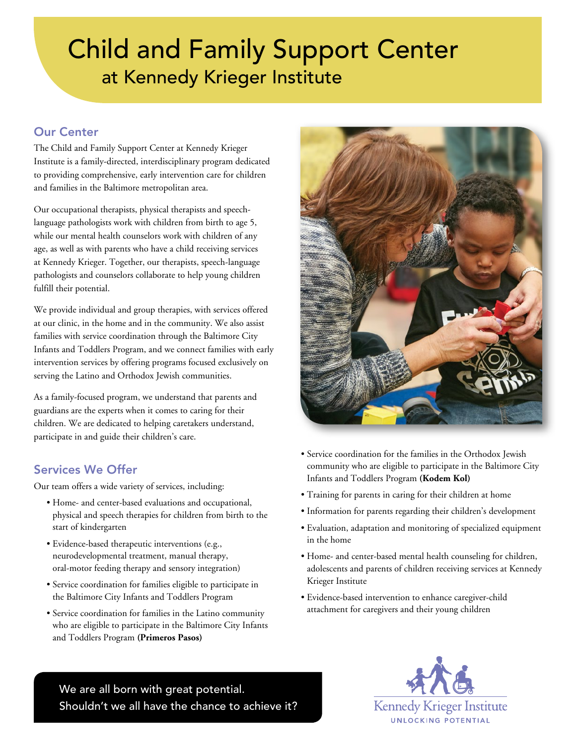# Child and Family Support Center at Kennedy Krieger Institute

# Our Center

The Child and Family Support Center at Kennedy Krieger Institute is a family-directed, interdisciplinary program dedicated to providing comprehensive, early intervention care for children and families in the Baltimore metropolitan area.

Our occupational therapists, physical therapists and speechlanguage pathologists work with children from birth to age 5, while our mental health counselors work with children of any age, as well as with parents who have a child receiving services at Kennedy Krieger. Together, our therapists, speech-language pathologists and counselors collaborate to help young children fulfill their potential.

We provide individual and group therapies, with services offered at our clinic, in the home and in the community. We also assist families with service coordination through the Baltimore City Infants and Toddlers Program, and we connect families with early intervention services by offering programs focused exclusively on serving the Latino and Orthodox Jewish communities.

As a family-focused program, we understand that parents and guardians are the experts when it comes to caring for their children. We are dedicated to helping caretakers understand, participate in and guide their children's care.

## Services We Offer

Our team offers a wide variety of services, including:

- Home- and center-based evaluations and occupational, physical and speech therapies for children from birth to the start of kindergarten
- Evidence-based therapeutic interventions (e.g., neurodevelopmental treatment, manual therapy, oral-motor feeding therapy and sensory integration)
- Service coordination for families eligible to participate in the Baltimore City Infants and Toddlers Program
- Service coordination for families in the Latino community who are eligible to participate in the Baltimore City Infants and Toddlers Program **(Primeros Pasos)**



- Service coordination for the families in the Orthodox Jewish community who are eligible to participate in the Baltimore City Infants and Toddlers Program **(Kodem Kol)**
- Training for parents in caring for their children at home
- Information for parents regarding their children's development
- Evaluation, adaptation and monitoring of specialized equipment in the home
- Home- and center-based mental health counseling for children, adolescents and parents of children receiving services at Kennedy Krieger Institute
- Evidence-based intervention to enhance caregiver-child attachment for caregivers and their young children

We are all born with great potential. Shouldn't we all have the chance to achieve it?